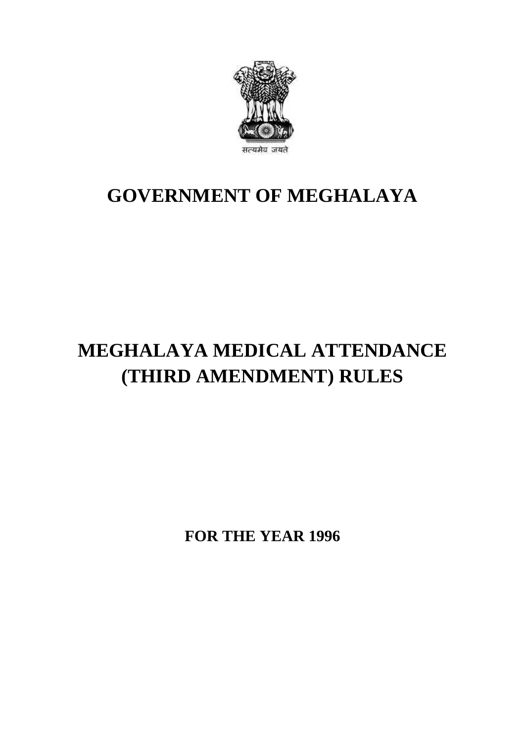

## **GOVERNMENT OF MEGHALAYA**

# **MEGHALAYA MEDICAL ATTENDANCE (THIRD AMENDMENT) RULES**

**FOR THE YEAR 1996**